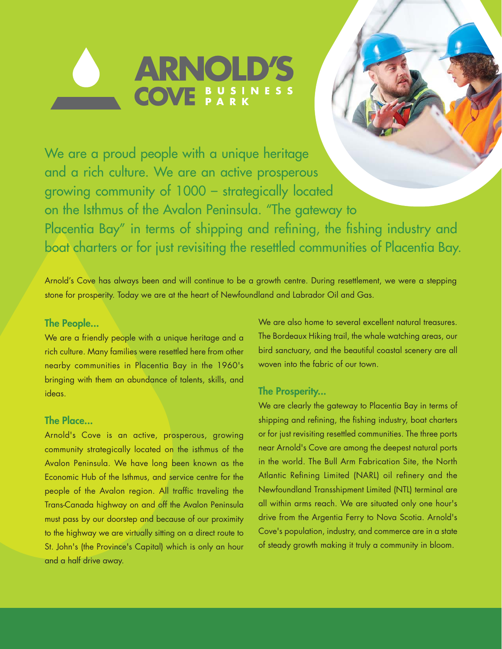

We are a proud people with a unique heritage and a rich culture. We are an active prosperous growing community of 1000 – strategically located on the Isthmus of the Avalon Peninsula. "The gateway to Placentia Bay" in terms of shipping and refining, the fishing industry and boat charters or for just revisiting the resettled communities of Placentia Bay.

Arnold's Cove has always been and will continue to be a growth centre. During resettlement, we were a stepping stone for prosperity. Today we are at the heart of Newfoundland and Labrador Oil and Gas.

#### **The People...**

We are a friendly people with a unique heritage and a rich culture. Many families were resettled here from other nearby communities in Placentia Bay in the 1960's bringing with them an abundance of talents, skills, and ideas.

## **The Place...**

Arnold's Cove is an active, prosperous, growing community strategically located on the isthmus of the Avalon Peninsula. We have long been known as the Economic Hub of the Isthmus, and service centre for the people of the Avalon region. All traffic traveling the Trans-Canada highway on and off the Avalon Peninsula must pass by our doorstep and because of our proximity to the highway we are virtually sitting on a direct route to St. John's (the Province's Capital) which is only an hour and a half drive away.

We are also home to several excellent natural treasures. The Bordeaux Hiking trail, the whale watching areas, our bird sanctuary, and the beautiful coastal scenery are all woven into the fabric of our town.

## **The Prosperity...**

We are clearly the gateway to Placentia Bay in terms of shipping and refining, the fishing industry, boat charters or for just revisiting resettled communities. The three ports near Arnold's Cove are among the deepest natural ports in the world. The Bull Arm Fabrication Site, the North Atlantic Refining Limited (NARL) oil refinery and the Newfoundland Transshipment Limited (NTL) terminal are all within arms reach. We are situated only one hour's drive from the Argentia Ferry to Nova Scotia. Arnold's Cove's population, industry, and commerce are in a state of steady growth making it truly a community in bloom.